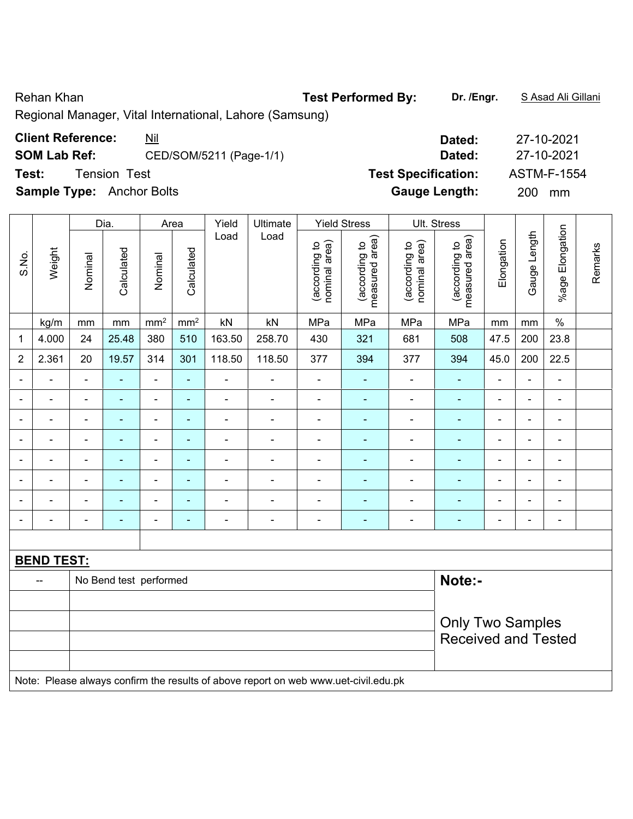Regional Manager, Vital International, Lahore (Samsung)

**SOM Lab Ref:** CED/SOM/5211 (Page-1/1) **Dated:** 27-10-2021

|                              |                   |                            | Dia.                   | Area           |                 | Yield  | Ultimate                                                                            | <b>Yield Stress</b>            |                                 |                                | Ult. Stress                     |                              |                              |                          |         |
|------------------------------|-------------------|----------------------------|------------------------|----------------|-----------------|--------|-------------------------------------------------------------------------------------|--------------------------------|---------------------------------|--------------------------------|---------------------------------|------------------------------|------------------------------|--------------------------|---------|
| S.No.                        | Weight            | Nominal                    | Calculated             | Nominal        | Calculated      | Load   | Load                                                                                | nominal area)<br>(according to | measured area)<br>(according to | nominal area)<br>(according to | (according to<br>measured area) | Elongation                   | Gauge Length                 | %age Elongation          | Remarks |
|                              | kg/m              | mm                         | mm                     | $\rm mm^2$     | mm <sup>2</sup> | kN     | kN                                                                                  | MPa                            | MPa                             | MPa                            | MPa                             | mm                           | mm                           | $\%$                     |         |
| $\mathbf{1}$                 | 4.000             | 24                         | 25.48                  | 380            | 510             | 163.50 | 258.70                                                                              | 430                            | 321                             | 681                            | 508                             | 47.5                         | 200                          | 23.8                     |         |
| $\overline{2}$               | 2.361             | 20                         | 19.57                  | 314            | 301             | 118.50 | 118.50                                                                              | 377                            | 394                             | 377                            | 394                             | 45.0                         | 200                          | 22.5                     |         |
| $\blacksquare$               |                   | $\blacksquare$             |                        |                | ÷,              | ÷,     | ä,                                                                                  | ÷                              |                                 | ä,                             | ÷,                              |                              | $\blacksquare$               | $\overline{a}$           |         |
|                              |                   |                            |                        | $\overline{a}$ | ۰               |        | $\blacksquare$                                                                      | $\blacksquare$                 |                                 | $\blacksquare$                 | $\overline{\phantom{0}}$        | ٠                            | $\blacksquare$               | $\overline{\phantom{0}}$ |         |
| $\blacksquare$               |                   |                            | $\blacksquare$         | ۰              | ٠               |        | $\blacksquare$                                                                      | $\blacksquare$                 |                                 | $\overline{\phantom{0}}$       | $\blacksquare$                  | $\qquad \qquad \blacksquare$ | $\blacksquare$               | $\blacksquare$           |         |
| $\overline{\phantom{a}}$     |                   | $\blacksquare$             | $\blacksquare$         | $\blacksquare$ | $\blacksquare$  | ä,     | $\blacksquare$                                                                      | Ē,                             | $\blacksquare$                  | $\overline{\phantom{a}}$       | ٠                               | $\overline{a}$               | $\blacksquare$               | $\overline{a}$           |         |
| $\qquad \qquad \blacksquare$ |                   | $\blacksquare$             | $\blacksquare$         | ۰              | $\blacksquare$  | ÷      | ÷                                                                                   | ÷                              | $\blacksquare$                  | $\overline{a}$                 | ٠                               | $\blacksquare$               | $\frac{1}{2}$                | $\frac{1}{2}$            |         |
| $\blacksquare$               |                   | $\blacksquare$             | $\blacksquare$         | $\blacksquare$ | ä,              | ä,     | ÷                                                                                   | ä,                             | $\blacksquare$                  | $\blacksquare$                 | $\frac{1}{2}$                   | $\blacksquare$               | $\blacksquare$               | $\blacksquare$           |         |
|                              |                   |                            | $\blacksquare$         | ÷              | ۰               | ÷      | $\blacksquare$                                                                      | Ē,                             |                                 | ÷                              | ÷                               | $\blacksquare$               | $\overline{a}$               | $\overline{\phantom{0}}$ |         |
| ۰                            |                   | $\blacksquare$             |                        |                | ÷               | ٠      | $\blacksquare$                                                                      | ÷                              |                                 | $\overline{\phantom{0}}$       | $\overline{\phantom{0}}$        | $\qquad \qquad \blacksquare$ | $\qquad \qquad \blacksquare$ | $\blacksquare$           |         |
|                              |                   |                            |                        |                |                 |        |                                                                                     |                                |                                 |                                |                                 |                              |                              |                          |         |
|                              | <b>BEND TEST:</b> |                            |                        |                |                 |        |                                                                                     |                                |                                 |                                |                                 |                              |                              |                          |         |
|                              | --                |                            | No Bend test performed |                |                 |        |                                                                                     |                                |                                 |                                | Note:-                          |                              |                              |                          |         |
|                              |                   |                            |                        |                |                 |        |                                                                                     |                                |                                 |                                |                                 |                              |                              |                          |         |
|                              |                   |                            |                        |                |                 |        |                                                                                     |                                |                                 |                                | <b>Only Two Samples</b>         |                              |                              |                          |         |
|                              |                   | <b>Received and Tested</b> |                        |                |                 |        |                                                                                     |                                |                                 |                                |                                 |                              |                              |                          |         |
|                              |                   |                            |                        |                |                 |        |                                                                                     |                                |                                 |                                |                                 |                              |                              |                          |         |
|                              |                   |                            |                        |                |                 |        | Note: Please always confirm the results of above report on web www.uet-civil.edu.pk |                                |                                 |                                |                                 |                              |                              |                          |         |

**Client Reference:** <u>Nil</u> 27-10-2021

**Test:** Tension Test **Test Specification:** ASTM-F-1554 **Sample Type:** Anchor Bolts **Gauge Length:** 200 mm

Rehan Khan **Test Performed By: Dr. /Engr.** S Asad Ali Gillani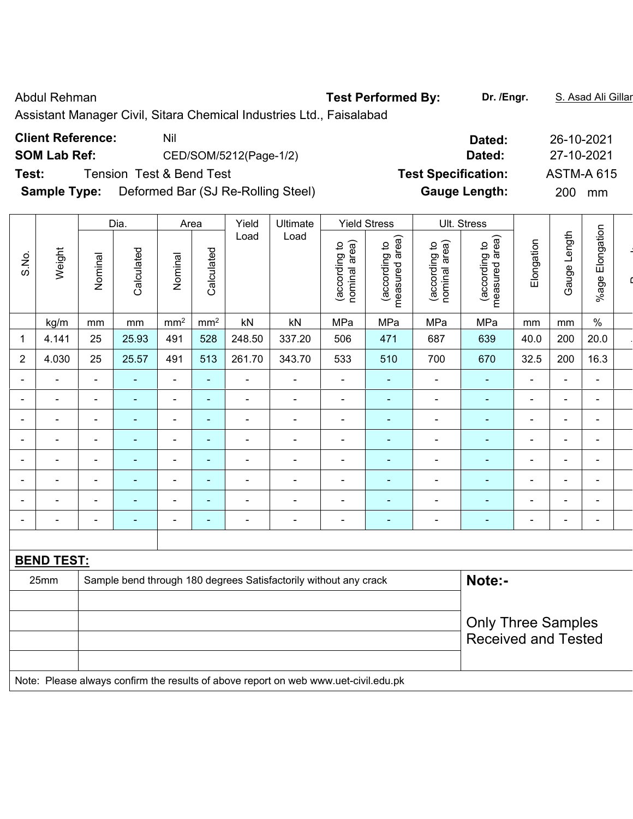Abdul Rehman **Test Performed By:** Dr. /Engr. **S. Asad Ali Gillan** Abdul Rehman Assistant Manager Civil, Sitara Chemical Industries Ltd., Faisalabad **Client Reference:** Nil **Dated:** 26-10-2021

|                     |                                    | ------                     | 20 IO 2021        |
|---------------------|------------------------------------|----------------------------|-------------------|
| <b>SOM Lab Ref:</b> | CED/SOM/5212(Page-1/2)             | Dated:                     | 27-10-2021        |
| Test:               | Tension Test & Bend Test           | <b>Test Specification:</b> | <b>ASTM-A 615</b> |
| <b>Sample Type:</b> | Deformed Bar (SJ Re-Rolling Steel) | <b>Gauge Length:</b>       | 200<br>mm         |
|                     |                                    |                            |                   |

|                |          |                          | Dia.       | Area            |                          | Yield                    | Ultimate |                                | <b>Yield Stress</b>                |                                | Ult. Stress                        |                          |                          |                          |  |
|----------------|----------|--------------------------|------------|-----------------|--------------------------|--------------------------|----------|--------------------------------|------------------------------------|--------------------------------|------------------------------------|--------------------------|--------------------------|--------------------------|--|
| S.No.          | Weight   | Nominal                  | Calculated | Nominal         | Calculated               | Load                     | Load     | nominal area)<br>(according to | area)<br>(according to<br>measured | (according to<br>nominal area) | area)<br>(according to<br>measured | Elongation               | Length<br>Gauge          | Elongation<br>$%$ age    |  |
|                | kg/m     | mm                       | mm         | mm <sup>2</sup> | mm <sup>2</sup>          | kN                       | kN       | MPa                            | MPa                                | MPa                            | MPa                                | mm                       | mm                       | $\%$                     |  |
| 1              | 4.141    | 25                       | 25.93      | 491             | 528                      | 248.50                   | 337.20   | 506                            | 471                                | 687                            | 639                                | 40.0                     | 200                      | 20.0                     |  |
| $\overline{2}$ | 4.030    | 25                       | 25.57      | 491             | 513                      | 261.70                   | 343.70   | 533                            | 510                                | 700                            | 670                                | 32.5                     | 200                      | 16.3                     |  |
|                |          | $\blacksquare$           |            | $\equiv$        | $\overline{\phantom{0}}$ | ۰                        |          | $\blacksquare$                 | $\blacksquare$                     | $\overline{\phantom{0}}$       | $\overline{\phantom{0}}$           | $\overline{\phantom{0}}$ | $\blacksquare$           | ۰                        |  |
|                | $\equiv$ | $\blacksquare$           |            | $\blacksquare$  | $\blacksquare$           | $\overline{\phantom{0}}$ |          | $\overline{\phantom{0}}$       | $\equiv$                           | $\overline{\phantom{0}}$       | ÷                                  | $\overline{\phantom{0}}$ | -                        | $\blacksquare$           |  |
|                |          | $\overline{\phantom{a}}$ |            | $\equiv$        | $\blacksquare$           | ۰                        |          |                                | $\equiv$                           | -                              |                                    | ۰                        | $\blacksquare$           | ۰.                       |  |
|                |          | $\blacksquare$           |            |                 | $\sim$                   | $\overline{\phantom{0}}$ |          |                                | $\blacksquare$                     |                                |                                    | ۰                        | $\blacksquare$           | ۰                        |  |
|                |          | -                        |            |                 |                          | ۰                        |          |                                |                                    |                                |                                    |                          |                          | $\overline{\phantom{0}}$ |  |
|                |          | $\overline{\phantom{0}}$ |            | $\equiv$        | $\overline{\phantom{0}}$ | $\blacksquare$           |          |                                | $\equiv$                           |                                |                                    | $\overline{\phantom{0}}$ | $\overline{\phantom{0}}$ | $\overline{\phantom{0}}$ |  |
|                |          | $\blacksquare$           |            | $\equiv$        | ۰                        | ۰                        |          | -                              | $\blacksquare$                     | $\blacksquare$                 |                                    | ۰                        | -                        | ۰.                       |  |
|                |          |                          |            |                 |                          |                          |          |                                |                                    |                                |                                    |                          | $\blacksquare$           | ۰.                       |  |

| 25mm | Sample bend through 180 degrees Satisfactorily without any crack | Note:-                                                  |
|------|------------------------------------------------------------------|---------------------------------------------------------|
|      |                                                                  | <b>Only Three Samples</b><br><b>Received and Tested</b> |
|      |                                                                  |                                                         |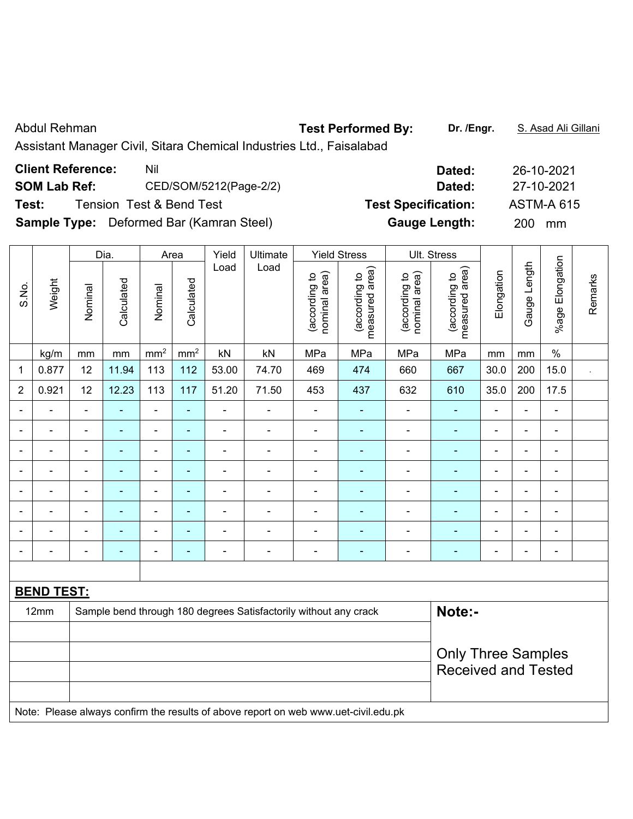| Abdul Rehman             |                                                                      | <b>Test Performed By:</b>  | Dr. /Engr. | S. Asad Ali Gillani |
|--------------------------|----------------------------------------------------------------------|----------------------------|------------|---------------------|
|                          | Assistant Manager Civil, Sitara Chemical Industries Ltd., Faisalabad |                            |            |                     |
| <b>Client Reference:</b> | Nil                                                                  |                            | Dated:     | 26-10-2021          |
| <b>SOM Lab Ref:</b>      | CED/SOM/5212(Page-2/2)                                               |                            | Dated:     | 27-10-2021          |
| Test:                    | Tension Test & Bend Test                                             | <b>Test Specification:</b> |            | <b>ASTM-A 615</b>   |

**Sample Type:** Deformed Bar (Kamran Steel) **Gauge Length:** 200 mm

|                |                   |                | Dia.           |                          | Area            | Yield          | Ultimate                                                                            |                                | <b>Yield Stress</b>             |                                | Ult. Stress                        |                          |                |                          |         |
|----------------|-------------------|----------------|----------------|--------------------------|-----------------|----------------|-------------------------------------------------------------------------------------|--------------------------------|---------------------------------|--------------------------------|------------------------------------|--------------------------|----------------|--------------------------|---------|
| S.No.          | Weight            | Nominal        | Calculated     | Nominal                  | Calculated      | Load           | Load                                                                                | nominal area)<br>(according to | (according to<br>measured area) | nominal area)<br>(according to | area)<br>(according to<br>measured | Elongation               | Gauge Length   | %age Elongation          | Remarks |
|                | kg/m              | mm             | mm             | mm <sup>2</sup>          | mm <sup>2</sup> | kN             | kN                                                                                  | MPa                            | MPa                             | MPa                            | MPa                                | mm                       | mm             | $\%$                     |         |
| $\mathbf 1$    | 0.877             | 12             | 11.94          | 113                      | 112             | 53.00          | 74.70                                                                               | 469                            | 474                             | 660                            | 667                                | 30.0                     | 200            | 15.0                     |         |
| $\overline{2}$ | 0.921             | 12             | 12.23          | 113                      | 117             | 51.20          | 71.50                                                                               | 453                            | 437                             | 632                            | 610                                | 35.0                     | 200            | 17.5                     |         |
| $\blacksquare$ | $\blacksquare$    | $\blacksquare$ | ä,             | $\blacksquare$           | $\blacksquare$  | $\blacksquare$ | $\blacksquare$                                                                      | $\qquad \qquad \blacksquare$   | $\blacksquare$                  | $\blacksquare$                 | $\blacksquare$                     | $\overline{\phantom{a}}$ | $\blacksquare$ | $\blacksquare$           |         |
|                | $\blacksquare$    | $\blacksquare$ | $\blacksquare$ | ÷,                       | $\blacksquare$  | $\blacksquare$ | $\blacksquare$                                                                      | $\blacksquare$                 | ÷,                              | $\blacksquare$                 | $\blacksquare$                     | $\blacksquare$           | $\blacksquare$ | $\blacksquare$           |         |
|                | $\blacksquare$    | ä,             | ä,             | ÷,                       | $\blacksquare$  | $\blacksquare$ | $\blacksquare$                                                                      | $\blacksquare$                 | ä,                              | $\blacksquare$                 | $\blacksquare$                     | $\blacksquare$           | ä,             | $\blacksquare$           |         |
|                |                   | $\blacksquare$ | $\blacksquare$ | $\blacksquare$           | $\blacksquare$  | $\blacksquare$ | ä,                                                                                  | $\overline{a}$                 |                                 | $\blacksquare$                 | $\blacksquare$                     |                          | ä,             | $\blacksquare$           |         |
|                |                   |                |                | ÷                        | ÷               | $\blacksquare$ | $\blacksquare$                                                                      | $\blacksquare$                 |                                 | $\blacksquare$                 | $\blacksquare$                     |                          |                | $\blacksquare$           |         |
| $\blacksquare$ |                   | $\blacksquare$ | $\blacksquare$ | $\overline{\phantom{a}}$ | ÷               | $\blacksquare$ | $\blacksquare$                                                                      | $\overline{a}$                 | ÷                               | $\overline{\phantom{a}}$       | $\blacksquare$                     | $\blacksquare$           | $\blacksquare$ | $\overline{\phantom{a}}$ |         |
|                |                   | $\blacksquare$ | $\blacksquare$ | ÷                        | ÷               | $\blacksquare$ | $\blacksquare$                                                                      | $\blacksquare$                 | $\blacksquare$                  | $\blacksquare$                 | $\blacksquare$                     | $\blacksquare$           | L,             | $\blacksquare$           |         |
|                |                   | Ē,             | ä,             | $\blacksquare$           | ä,              | ä,             | ÷,                                                                                  | $\blacksquare$                 | L,                              | $\qquad \qquad \blacksquare$   | $\blacksquare$                     | $\blacksquare$           | $\blacksquare$ | $\blacksquare$           |         |
|                |                   |                |                |                          |                 |                |                                                                                     |                                |                                 |                                |                                    |                          |                |                          |         |
|                | <b>BEND TEST:</b> |                |                |                          |                 |                |                                                                                     |                                |                                 |                                |                                    |                          |                |                          |         |
|                | 12mm              |                |                |                          |                 |                | Sample bend through 180 degrees Satisfactorily without any crack                    |                                |                                 |                                | Note:-                             |                          |                |                          |         |
|                |                   |                |                |                          |                 |                |                                                                                     |                                |                                 |                                |                                    |                          |                |                          |         |
|                |                   |                |                |                          |                 |                |                                                                                     |                                |                                 |                                | <b>Only Three Samples</b>          |                          |                |                          |         |
|                |                   |                |                |                          |                 |                |                                                                                     |                                |                                 |                                | <b>Received and Tested</b>         |                          |                |                          |         |
|                |                   |                |                |                          |                 |                |                                                                                     |                                |                                 |                                |                                    |                          |                |                          |         |
|                |                   |                |                |                          |                 |                | Note: Please always confirm the results of above report on web www.uet-civil.edu.pk |                                |                                 |                                |                                    |                          |                |                          |         |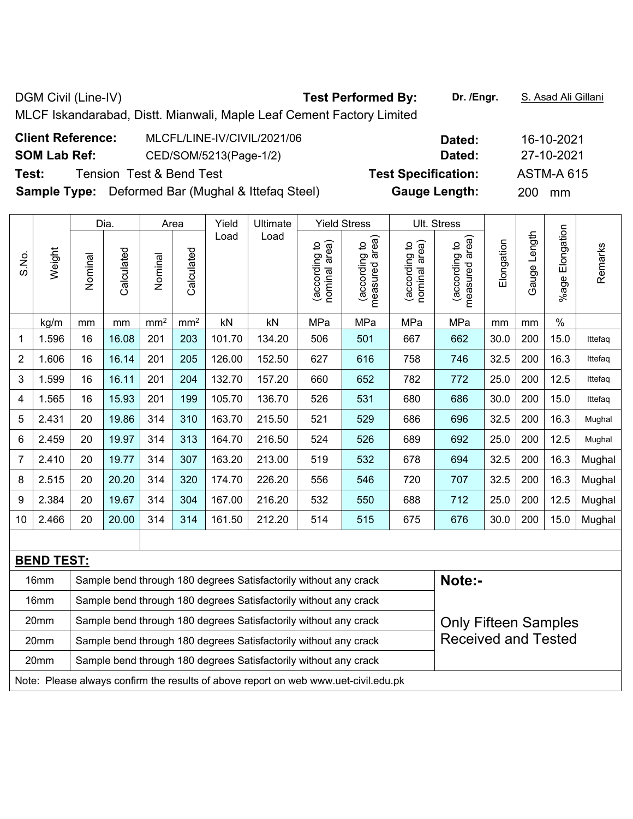| MLCF Iskandarabad, Distt. Mianwali, Maple Leaf Cement Factory Limited |                            |                   |  |  |  |  |  |  |  |  |  |  |
|-----------------------------------------------------------------------|----------------------------|-------------------|--|--|--|--|--|--|--|--|--|--|
| <b>Client Reference:</b><br>MLCFL/LINE-IV/CIVIL/2021/06               | Dated:                     | 16-10-2021        |  |  |  |  |  |  |  |  |  |  |
| <b>SOM Lab Ref:</b><br>CED/SOM/5213(Page-1/2)                         | Dated:                     | 27-10-2021        |  |  |  |  |  |  |  |  |  |  |
| Test:<br><b>Tension Test &amp; Bend Test</b>                          | <b>Test Specification:</b> | <b>ASTM-A 615</b> |  |  |  |  |  |  |  |  |  |  |
| <b>Sample Type:</b> Deformed Bar (Mughal & Ittefag Steel)             | <b>Gauge Length:</b>       | 200 mm            |  |  |  |  |  |  |  |  |  |  |
|                                                                       |                            |                   |  |  |  |  |  |  |  |  |  |  |

DGM Civil (Line-IV) **Test Performed By:** Dr. /Engr. **S. Asad Ali Gillani** 

|                |        |         | Dia.       |                 | Area            | Yield  | Ultimate |                                | <b>Yield Stress</b>                |                                   | Ult. Stress                                       |            |                 |                       |         |
|----------------|--------|---------|------------|-----------------|-----------------|--------|----------|--------------------------------|------------------------------------|-----------------------------------|---------------------------------------------------|------------|-----------------|-----------------------|---------|
| S.No.          | Weight | Nominal | Calculated | Nominal         | Calculated      | Load   | Load     | nominal area)<br>(according to | area)<br>(according to<br>measured | nominal area)<br>S,<br>(according | area)<br>$\overline{5}$<br>(according<br>measured | Elongation | Length<br>Gauge | Elongation<br>$%$ age | Remarks |
|                | kg/m   | mm      | mm         | mm <sup>2</sup> | mm <sup>2</sup> | kN     | kN       | MPa                            | MPa                                | MPa                               | MPa                                               | mm         | mm              | $\%$                  |         |
| 1              | 1.596  | 16      | 16.08      | 201             | 203             | 101.70 | 134.20   | 506                            | 501                                | 667                               | 662                                               | 30.0       | 200             | 15.0                  | Ittefaq |
| $\overline{2}$ | 1.606  | 16      | 16.14      | 201             | 205             | 126.00 | 152.50   | 627                            | 616                                | 758                               | 746                                               | 32.5       | 200             | 16.3                  | Ittefaq |
| 3              | 1.599  | 16      | 16.11      | 201             | 204             | 132.70 | 157.20   | 660                            | 652                                | 782                               | 772                                               | 25.0       | 200             | 12.5                  | Ittefaq |
| 4              | 1.565  | 16      | 15.93      | 201             | 199             | 105.70 | 136.70   | 526                            | 531                                | 680                               | 686                                               | 30.0       | 200             | 15.0                  | Ittefaq |
| 5              | 2.431  | 20      | 19.86      | 314             | 310             | 163.70 | 215.50   | 521                            | 529                                | 686                               | 696                                               | 32.5       | 200             | 16.3                  | Mughal  |
| 6              | 2.459  | 20      | 19.97      | 314             | 313             | 164.70 | 216.50   | 524                            | 526                                | 689                               | 692                                               | 25.0       | 200             | 12.5                  | Mughal  |
| 7              | 2.410  | 20      | 19.77      | 314             | 307             | 163.20 | 213.00   | 519                            | 532                                | 678                               | 694                                               | 32.5       | 200             | 16.3                  | Mughal  |
| 8              | 2.515  | 20      | 20.20      | 314             | 320             | 174.70 | 226.20   | 556                            | 546                                | 720                               | 707                                               | 32.5       | 200             | 16.3                  | Mughal  |
| 9              | 2.384  | 20      | 19.67      | 314             | 304             | 167.00 | 216.20   | 532                            | 550                                | 688                               | 712                                               | 25.0       | 200             | 12.5                  | Mughal  |
| 10             | 2.466  | 20      | 20.00      | 314             | 314             | 161.50 | 212.20   | 514                            | 515                                | 675                               | 676                                               | 30.0       | 200             | 15.0                  | Mughal  |

| <b>BEND TEST:</b> |                                                                                     |                             |  |  |  |  |  |  |  |  |  |
|-------------------|-------------------------------------------------------------------------------------|-----------------------------|--|--|--|--|--|--|--|--|--|
| 16 <sub>mm</sub>  | Sample bend through 180 degrees Satisfactorily without any crack                    | Note:-                      |  |  |  |  |  |  |  |  |  |
| 16mm              | Sample bend through 180 degrees Satisfactorily without any crack                    |                             |  |  |  |  |  |  |  |  |  |
| 20 <sub>mm</sub>  | Sample bend through 180 degrees Satisfactorily without any crack                    | <b>Only Fifteen Samples</b> |  |  |  |  |  |  |  |  |  |
| 20 <sub>mm</sub>  | Sample bend through 180 degrees Satisfactorily without any crack                    | <b>Received and Tested</b>  |  |  |  |  |  |  |  |  |  |
| 20 <sub>mm</sub>  | Sample bend through 180 degrees Satisfactorily without any crack                    |                             |  |  |  |  |  |  |  |  |  |
|                   | Note: Please always confirm the results of above report on web www.uet-civil.edu.pk |                             |  |  |  |  |  |  |  |  |  |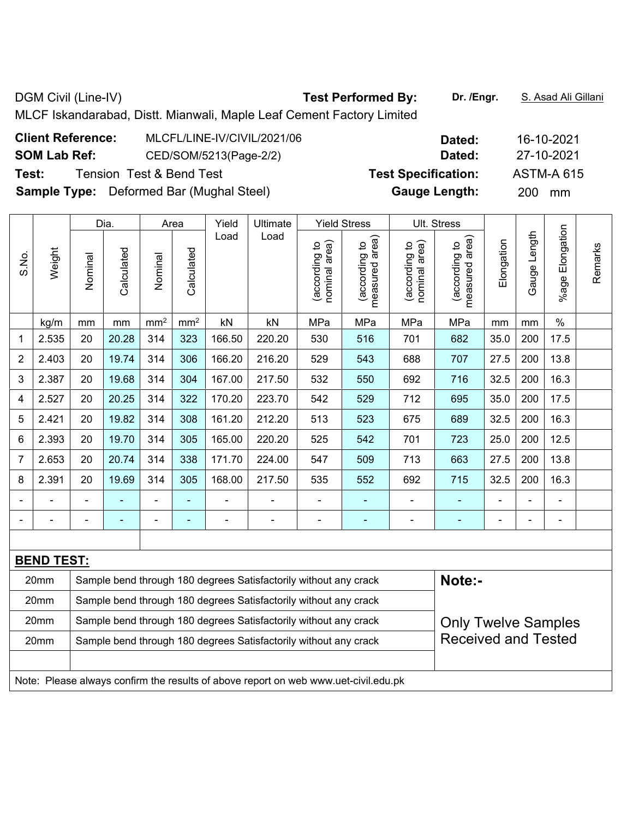DGM Civil (Line-IV) **Test Performed By:** Dr. /Engr. **S. Asad Ali Gillani** DGM Civil (Line-IV) MLCF Iskandarabad, Distt. Mianwali, Maple Leaf Cement Factory Limited **Client Reference:** MLCFL/LINE-IV/CIVIL/2021/06 **Dated:** 16-10-2021

**SOM Lab Ref:** CED/SOM/5213(Page-2/2) **Dated:** 27-10-2021 **Test:** Tension Test & Bend Test **Test Specification:** ASTM-A 615

**Sample Type:** Deformed Bar (Mughal Steel) **Gauge Length:** 200 mm

|                |                   |         | Dia.                     | Yield<br>Ultimate<br><b>Yield Stress</b><br>Ult. Stress<br>Area |                 |        |                                                                                     |                                |                                 |                                |                                 |                |              |                          |         |
|----------------|-------------------|---------|--------------------------|-----------------------------------------------------------------|-----------------|--------|-------------------------------------------------------------------------------------|--------------------------------|---------------------------------|--------------------------------|---------------------------------|----------------|--------------|--------------------------|---------|
| S.No.          | Weight            | Nominal | Calculated               | Nominal                                                         | Calculated      | Load   | Load                                                                                | nominal area)<br>(according to | (according to<br>measured area) | nominal area)<br>(according to | measured area)<br>(according to | Elongation     | Gauge Length | Elongation<br>%age       | Remarks |
|                | kg/m              | mm      | mm                       | mm <sup>2</sup>                                                 | mm <sup>2</sup> | kN     | kN                                                                                  | MPa                            | MPa                             | MPa                            | MPa                             | mm             | mm           | $\%$                     |         |
| 1              | 2.535             | 20      | 20.28                    | 314                                                             | 323             | 166.50 | 220.20                                                                              | 530                            | 516                             | 701                            | 682                             | 35.0           | 200          | 17.5                     |         |
| $\overline{2}$ | 2.403             | 20      | 19.74                    | 314                                                             | 306             | 166.20 | 216.20                                                                              | 529                            | 543                             | 688                            | 707                             | 27.5           | 200          | 13.8                     |         |
| 3              | 2.387             | 20      | 19.68                    | 314                                                             | 304             | 167.00 | 217.50                                                                              | 532                            | 550                             | 692                            | 716                             | 32.5           | 200          | 16.3                     |         |
| 4              | 2.527             | 20      | 20.25                    | 314                                                             | 322             | 170.20 | 223.70                                                                              | 542                            | 529                             | 712                            | 695                             | 35.0           | 200          | 17.5                     |         |
| 5              | 2.421             | 20      | 19.82                    | 314                                                             | 308             | 161.20 | 212.20                                                                              | 513                            | 523                             | 675                            | 689                             | 32.5           | 200          | 16.3                     |         |
| 6              | 2.393             | 20      | 19.70                    | 314                                                             | 305             | 165.00 | 220.20                                                                              | 525                            | 542                             | 701                            | 723                             | 25.0           | 200          | 12.5                     |         |
| $\overline{7}$ | 2.653             | 20      | 20.74                    | 314                                                             | 338             | 171.70 | 224.00                                                                              | 547                            | 509                             | 713                            | 663                             | 27.5           | 200          | 13.8                     |         |
| 8              | 2.391             | 20      | 19.69                    | 314                                                             | 305             | 168.00 | 217.50                                                                              | 535                            | 552                             | 692                            | 715                             | 32.5           | 200          | 16.3                     |         |
|                |                   |         |                          |                                                                 | ۰               |        |                                                                                     | $\blacksquare$                 |                                 |                                | ۰                               |                |              |                          |         |
| $\blacksquare$ |                   |         | $\overline{\phantom{a}}$ |                                                                 | ÷               | ä,     | $\blacksquare$                                                                      | $\blacksquare$                 | ٠                               | $\blacksquare$                 | ÷                               | $\blacksquare$ |              | $\overline{\phantom{a}}$ |         |
|                |                   |         |                          |                                                                 |                 |        |                                                                                     |                                |                                 |                                |                                 |                |              |                          |         |
|                | <b>BEND TEST:</b> |         |                          |                                                                 |                 |        |                                                                                     |                                |                                 |                                |                                 |                |              |                          |         |
|                | 20mm              |         |                          |                                                                 |                 |        | Sample bend through 180 degrees Satisfactorily without any crack                    |                                |                                 |                                | Note:-                          |                |              |                          |         |
|                | 20mm              |         |                          |                                                                 |                 |        | Sample bend through 180 degrees Satisfactorily without any crack                    |                                |                                 |                                |                                 |                |              |                          |         |
|                | 20mm              |         |                          |                                                                 |                 |        | Sample bend through 180 degrees Satisfactorily without any crack                    |                                |                                 |                                | <b>Only Twelve Samples</b>      |                |              |                          |         |
|                | 20mm              |         |                          |                                                                 |                 |        | Sample bend through 180 degrees Satisfactorily without any crack                    |                                |                                 |                                | <b>Received and Tested</b>      |                |              |                          |         |
|                |                   |         |                          |                                                                 |                 |        |                                                                                     |                                |                                 |                                |                                 |                |              |                          |         |
|                |                   |         |                          |                                                                 |                 |        | Note: Please always confirm the results of above report on web www.uet-civil.edu.pk |                                |                                 |                                |                                 |                |              |                          |         |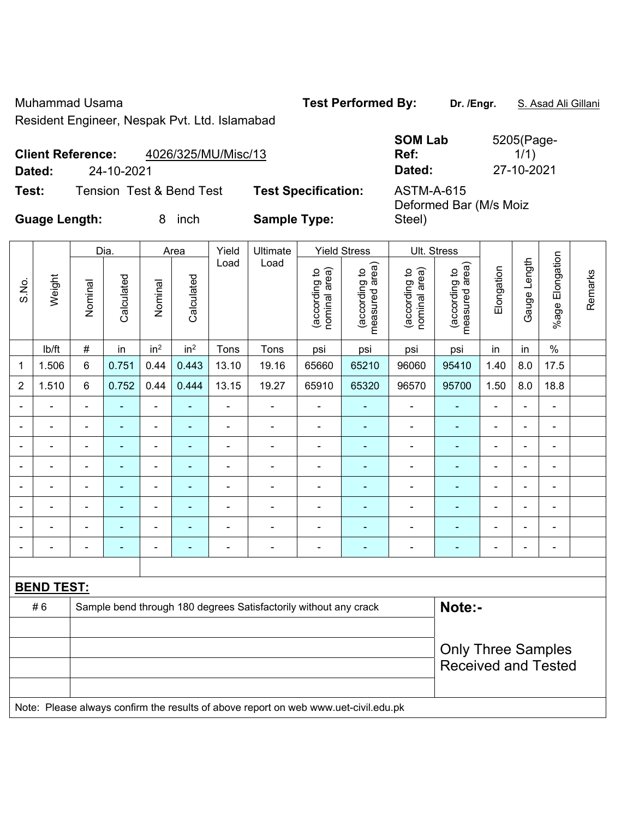Muhammad Usama **Test Performed By: Dr. /Engr.** S. Asad Ali Gillani Resident Engineer, Nespak Pvt. Ltd. Islamabad

|                          |                     | <b>SOM Lab</b> | 5205(Page- |
|--------------------------|---------------------|----------------|------------|
| <b>Client Reference:</b> | 4026/325/MU/Misc/13 | Ref:           | 1/1)       |
| Dated:                   | 24-10-2021          | Dated:         | 27-10-2021 |

Deformed Bar (M/s Moiz

Steel)

**Test:** Tension Test & Bend Test **Test Specification:** ASTM-A-615

**Guage Length:** 8 inch **Sample Type:** 

|                                                                                  | Dia.              |                |            |                 | Area            | Yield | Ultimate       |                                | <b>Yield Stress</b>             | Ult. Stress                    |                                 |                          |                          |                              |         |
|----------------------------------------------------------------------------------|-------------------|----------------|------------|-----------------|-----------------|-------|----------------|--------------------------------|---------------------------------|--------------------------------|---------------------------------|--------------------------|--------------------------|------------------------------|---------|
| S.No.                                                                            | Weight            | Nominal        | Calculated | Nominal         | Calculated      | Load  | Load           | nominal area)<br>(according to | measured area)<br>(according to | nominal area)<br>(according to | measured area)<br>(according to | Elongation               | Gauge Length             | %age Elongation              | Remarks |
|                                                                                  | lb/ft             | $\#$           | in         | in <sup>2</sup> | in <sup>2</sup> | Tons  | Tons           | psi                            | psi                             | psi                            | psi                             | in                       | in                       | $\%$                         |         |
| 1                                                                                | 1.506             | $\,6\,$        | 0.751      | 0.44            | 0.443           | 13.10 | 19.16          | 65660                          | 65210                           | 96060                          | 95410                           | 1.40                     | 8.0                      | 17.5                         |         |
| $\overline{2}$                                                                   | 1.510             | $6\phantom{a}$ | 0.752      | 0.44            | 0.444           | 13.15 | 19.27          | 65910                          | 65320                           | 96570                          | 95700                           | 1.50                     | 8.0                      | 18.8                         |         |
| $\blacksquare$                                                                   |                   | $\blacksquare$ | ۰          | $\blacksquare$  | $\blacksquare$  |       |                | $\blacksquare$                 | $\blacksquare$                  | $\blacksquare$                 | $\blacksquare$                  | $\blacksquare$           | $\overline{\phantom{a}}$ | $\overline{\phantom{a}}$     |         |
|                                                                                  |                   | $\blacksquare$ | ۰          | ٠               | ۰               |       | $\blacksquare$ | $\blacksquare$                 | ۰                               | $\qquad \qquad \blacksquare$   | $\blacksquare$                  | $\blacksquare$           | $\overline{\phantom{0}}$ | $\qquad \qquad \blacksquare$ |         |
|                                                                                  |                   | $\blacksquare$ | ۰          | ۰               | ۰               |       |                | $\blacksquare$                 | ٠                               | $\qquad \qquad \blacksquare$   | $\blacksquare$                  | $\blacksquare$           | $\overline{\phantom{0}}$ | $\blacksquare$               |         |
|                                                                                  |                   |                |            | -               | $\blacksquare$  |       |                |                                | ٠                               | $\overline{\phantom{0}}$       | ۰                               | $\overline{\phantom{0}}$ | $\blacksquare$           | ۰                            |         |
|                                                                                  |                   |                |            |                 |                 |       |                |                                |                                 |                                |                                 |                          | $\blacksquare$           | ۰                            |         |
|                                                                                  |                   |                |            | $\blacksquare$  |                 |       |                |                                |                                 |                                |                                 |                          | $\overline{a}$           | -                            |         |
|                                                                                  |                   |                | -          | ۰               |                 |       |                |                                | ۰                               |                                |                                 | $\blacksquare$           | $\overline{\phantom{0}}$ | $\qquad \qquad \blacksquare$ |         |
|                                                                                  |                   |                |            | -               |                 |       |                |                                | $\overline{\phantom{a}}$        | ۰                              | $\blacksquare$                  | $\blacksquare$           | $\overline{\phantom{a}}$ | $\qquad \qquad \blacksquare$ |         |
|                                                                                  |                   |                |            |                 |                 |       |                |                                |                                 |                                |                                 |                          |                          |                              |         |
|                                                                                  | <b>BEND TEST:</b> |                |            |                 |                 |       |                |                                |                                 |                                |                                 |                          |                          |                              |         |
| Note:-<br>#6<br>Sample bend through 180 degrees Satisfactorily without any crack |                   |                |            |                 |                 |       |                |                                |                                 |                                |                                 |                          |                          |                              |         |

# 6 Sample bend through 180 degrees Satisfactorily without any crack **Note:-**Only Three Samples Received and Tested Note: Please always confirm the results of above report on web www.uet-civil.edu.pk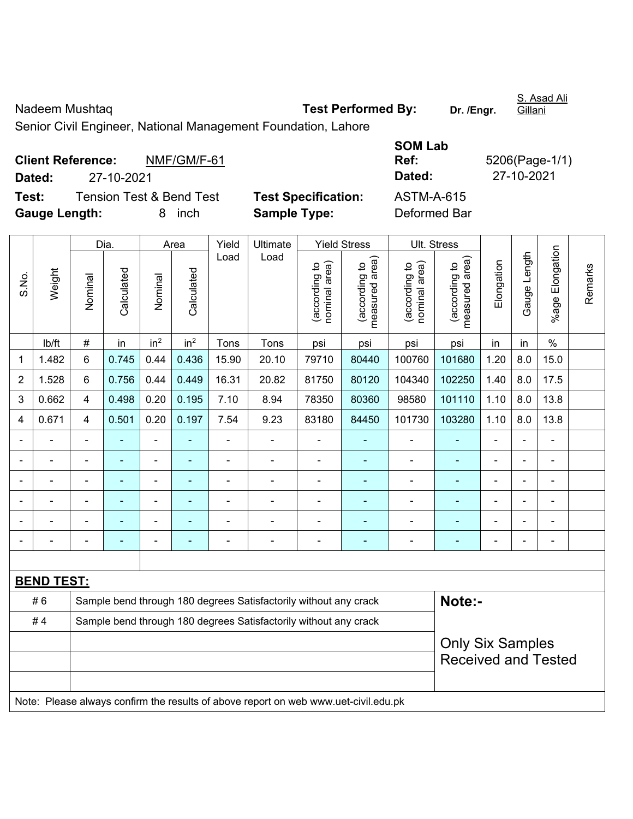Nadeem Mushtaq **Test Performed By:** Dr. /Engr. Gillani Senior Civil Engineer, National Management Foundation, Lahore

|                      | <b>Client Reference:</b> | NMF/GM/F-61              |                            | Ref:         | 5206(Page-1/ |
|----------------------|--------------------------|--------------------------|----------------------------|--------------|--------------|
| Dated:               | 27-10-2021               |                          |                            | Dated:       | 27-10-2021   |
| Test:                |                          | Tension Test & Bend Test | <b>Test Specification:</b> | ASTM-A-615   |              |
| <b>Gauge Length:</b> |                          | inch<br>8                | <b>Sample Type:</b>        | Deformed Bar |              |

| <b>SOM Lab</b> |                |
|----------------|----------------|
| Ref:           | 5206(Page-1/1) |
| Dated:         | 27-10-2021     |
| ASTM-A-615     |                |
| Deformed Rar   |                |

|                |                          |                | Dia.                                                             |                              | Area                    | Yield          | Ultimate                                                                            |                                | <b>Yield Stress</b>             |                                | Ult. Stress                     |                          |                |                       |         |
|----------------|--------------------------|----------------|------------------------------------------------------------------|------------------------------|-------------------------|----------------|-------------------------------------------------------------------------------------|--------------------------------|---------------------------------|--------------------------------|---------------------------------|--------------------------|----------------|-----------------------|---------|
| S.No.          | Weight                   | Nominal        | Calculated                                                       | Nominal                      | Calculated              | Load           | Load                                                                                | nominal area)<br>(according to | (according to<br>measured area) | nominal area)<br>(according to | (according to<br>measured area) | Elongation               | Gauge Length   | Elongation<br>$%$ age | Remarks |
|                | lb/ft                    | $\#$           | in                                                               | in <sup>2</sup>              | in <sup>2</sup>         | Tons           | Tons                                                                                | psi                            | psi                             | psi                            | psi                             | in                       | in             | $\frac{0}{0}$         |         |
| 1              | 1.482                    | 6              | 0.745                                                            | 0.44                         | 0.436                   | 15.90          | 20.10                                                                               | 79710                          | 80440                           | 100760                         | 101680                          | 1.20                     | 8.0            | 15.0                  |         |
| $\overline{2}$ | 1.528                    | 6              | 0.756                                                            | 0.44                         | 0.449                   | 16.31          | 20.82                                                                               | 81750                          | 80120                           | 104340                         | 102250                          | 1.40                     | 8.0            | 17.5                  |         |
| 3              | 0.662                    | $\overline{4}$ | 0.498                                                            | 0.20                         | 0.195                   | 7.10           | 8.94                                                                                | 78350                          | 80360                           | 98580                          | 101110                          | 1.10                     | 8.0            | 13.8                  |         |
| 4              | 0.671                    | 4              | 0.501                                                            | 0.20                         | 0.197                   | 7.54           | 9.23                                                                                | 83180                          | 84450                           | 101730                         | 103280                          | 1.10                     | 8.0            | 13.8                  |         |
|                |                          |                |                                                                  | ÷,                           | ٠                       | ä,             | $\blacksquare$                                                                      | $\overline{\phantom{a}}$       | ۰                               |                                | ٠                               | $\overline{a}$           |                | $\overline{a}$        |         |
|                | ÷                        | $\blacksquare$ | ÷,                                                               | $\qquad \qquad \blacksquare$ | ۰                       | ä,             | $\blacksquare$                                                                      | $\blacksquare$                 | ٠                               | $\blacksquare$                 | ٠                               | Ē,                       | $\blacksquare$ | $\blacksquare$        |         |
|                | $\blacksquare$           | $\blacksquare$ | ۰                                                                | $\overline{\phantom{0}}$     | ۰                       | $\blacksquare$ | $\overline{\phantom{a}}$                                                            | $\qquad \qquad \blacksquare$   | ٠                               | $\overline{\phantom{a}}$       | $\qquad \qquad \blacksquare$    | $\overline{\phantom{a}}$ |                | $\blacksquare$        |         |
|                | $\overline{\phantom{a}}$ |                | ÷                                                                | $\overline{\phantom{0}}$     |                         | $\blacksquare$ | ÷,                                                                                  | $\overline{\phantom{a}}$       | ٠                               | ÷,                             | $\blacksquare$                  | $\blacksquare$           |                | $\blacksquare$        |         |
|                | ä,                       |                | ÷                                                                | $\blacksquare$               | ۰                       | $\blacksquare$ | ÷,                                                                                  | $\blacksquare$                 | $\blacksquare$                  | ÷,                             | ÷                               | ä,                       |                | ä,                    |         |
|                |                          |                | ÷                                                                | -                            |                         |                | ÷,                                                                                  | $\overline{a}$                 | ٠                               | ÷,                             | $\blacksquare$                  | L,                       |                | ÷,                    |         |
|                |                          |                |                                                                  |                              |                         |                |                                                                                     |                                |                                 |                                |                                 |                          |                |                       |         |
|                | <b>BEND TEST:</b>        |                |                                                                  |                              |                         |                |                                                                                     |                                |                                 |                                |                                 |                          |                |                       |         |
|                | #6                       |                |                                                                  |                              |                         |                | Sample bend through 180 degrees Satisfactorily without any crack                    |                                |                                 |                                | Note:-                          |                          |                |                       |         |
|                | #4                       |                | Sample bend through 180 degrees Satisfactorily without any crack |                              |                         |                |                                                                                     |                                |                                 |                                |                                 |                          |                |                       |         |
|                |                          |                |                                                                  |                              | <b>Only Six Samples</b> |                |                                                                                     |                                |                                 |                                |                                 |                          |                |                       |         |
|                |                          |                |                                                                  |                              |                         |                |                                                                                     |                                |                                 |                                | <b>Received and Tested</b>      |                          |                |                       |         |
|                |                          |                |                                                                  |                              |                         |                |                                                                                     |                                |                                 |                                |                                 |                          |                |                       |         |
|                |                          |                |                                                                  |                              |                         |                | Note: Please always confirm the results of above report on web www.uet-civil.edu.pk |                                |                                 |                                |                                 |                          |                |                       |         |

S. Asad Ali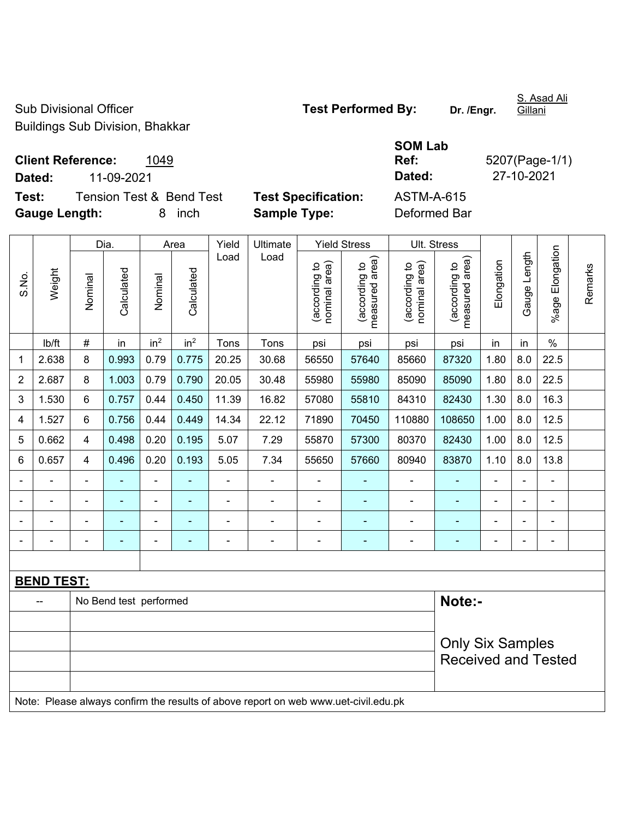Sub Divisional Officer **Test Performed By:** Dr. /Engr. Buildings Sub Division, Bhakkar

S. Asad Ali Gillani

**Test:** Tension Test & Bend Test Test Specification: **Gauge Length:** 8 inch **Sample Type:** Deformed Bar

|                             |                                  |                            | <b>SOM Lab</b> |                |
|-----------------------------|----------------------------------|----------------------------|----------------|----------------|
|                             | <b>Client Reference:</b><br>1049 |                            | Ref:           | 5207(Page-1/1) |
| Dated:                      | 11-09-2021                       |                            | Dated:         | 27-10-2021     |
| Test:                       | Tension Test & Bend Test         | <b>Test Specification:</b> | ASTM-A-615     |                |
| $\sim$ $\sim$ $\sim$ $\sim$ |                                  |                            |                |                |

|                |                          |                | Dia.                   |                 | Area                                                  | Yield          | Ultimate                                                                            |                                | <b>Yield Stress</b>             |                                | Ult. Stress                     |                |              |                 |         |
|----------------|--------------------------|----------------|------------------------|-----------------|-------------------------------------------------------|----------------|-------------------------------------------------------------------------------------|--------------------------------|---------------------------------|--------------------------------|---------------------------------|----------------|--------------|-----------------|---------|
| S.No.          | Weight                   | Nominal        | Calculated             | Nominal         | Calculated                                            | Load           | Load                                                                                | nominal area)<br>(according to | (according to<br>measured area) | (according to<br>nominal area) | measured area)<br>(according to | Elongation     | Gauge Length | %age Elongation | Remarks |
|                | Ib/ft                    | #              | in                     | in <sup>2</sup> | in <sup>2</sup>                                       | Tons           | Tons                                                                                | psi                            | psi                             | psi                            | psi                             | in             | in           | $\%$            |         |
| 1              | 2.638                    | 8              | 0.993                  | 0.79            | 0.775                                                 | 20.25          | 30.68                                                                               | 56550                          | 57640                           | 85660                          | 87320                           | 1.80           | 8.0          | 22.5            |         |
| $\overline{2}$ | 2.687                    | 8              | 1.003                  | 0.79            | 0.790                                                 | 20.05          | 30.48                                                                               | 55980                          | 55980                           | 85090                          | 85090                           | 1.80           | 8.0          | 22.5            |         |
| 3              | 1.530                    | 6              | 0.757                  | 0.44            | 0.450                                                 | 11.39          | 16.82                                                                               | 57080                          | 55810                           | 84310                          | 82430                           | 1.30           | 8.0          | 16.3            |         |
| 4              | 1.527                    | 6              | 0.756                  | 0.44            | 0.449                                                 | 14.34          | 22.12                                                                               | 71890                          | 70450                           | 110880                         | 108650                          | 1.00           | 8.0          | 12.5            |         |
| 5              | 0.662                    | 4              | 0.498                  | 0.20            | 0.195                                                 | 5.07           | 7.29                                                                                | 55870                          | 57300                           | 80370                          | 82430                           | 1.00           | 8.0          | 12.5            |         |
| 6              | 0.657                    | 4              | 0.496                  | 0.20            | 0.193                                                 | 5.05           | 7.34                                                                                | 55650                          | 57660                           | 80940                          | 83870                           | 1.10           | 8.0          | 13.8            |         |
|                |                          | $\blacksquare$ |                        |                 |                                                       |                | ä,                                                                                  | $\blacksquare$                 |                                 | $\blacksquare$                 | $\blacksquare$                  |                |              | ä,              |         |
| $\blacksquare$ | $\overline{\phantom{a}}$ |                | ٠                      | $\blacksquare$  | $\blacksquare$                                        | $\blacksquare$ | ä,                                                                                  | ä,                             | $\blacksquare$                  | $\overline{\phantom{a}}$       | $\blacksquare$                  | $\blacksquare$ |              | $\blacksquare$  |         |
|                | $\blacksquare$           | $\blacksquare$ | $\blacksquare$         | ÷               | ۰                                                     | $\blacksquare$ | $\blacksquare$                                                                      | $\blacksquare$                 | $\blacksquare$                  | $\blacksquare$                 | $\overline{a}$                  | $\blacksquare$ |              | $\blacksquare$  |         |
|                |                          |                | $\blacksquare$         | ÷               |                                                       | $\blacksquare$ | L.                                                                                  | ä,                             |                                 | $\blacksquare$                 | $\blacksquare$                  | $\blacksquare$ |              | $\blacksquare$  |         |
|                |                          |                |                        |                 |                                                       |                |                                                                                     |                                |                                 |                                |                                 |                |              |                 |         |
|                | <b>BEND TEST:</b>        |                |                        |                 |                                                       |                |                                                                                     |                                |                                 |                                |                                 |                |              |                 |         |
|                |                          |                | No Bend test performed |                 |                                                       |                |                                                                                     |                                |                                 |                                | Note:-                          |                |              |                 |         |
|                |                          |                |                        |                 |                                                       |                |                                                                                     |                                |                                 |                                |                                 |                |              |                 |         |
|                |                          |                |                        |                 | <b>Only Six Samples</b><br><b>Received and Tested</b> |                |                                                                                     |                                |                                 |                                |                                 |                |              |                 |         |
|                |                          |                |                        |                 |                                                       |                | Note: Please always confirm the results of above report on web www.uet-civil.edu.pk |                                |                                 |                                |                                 |                |              |                 |         |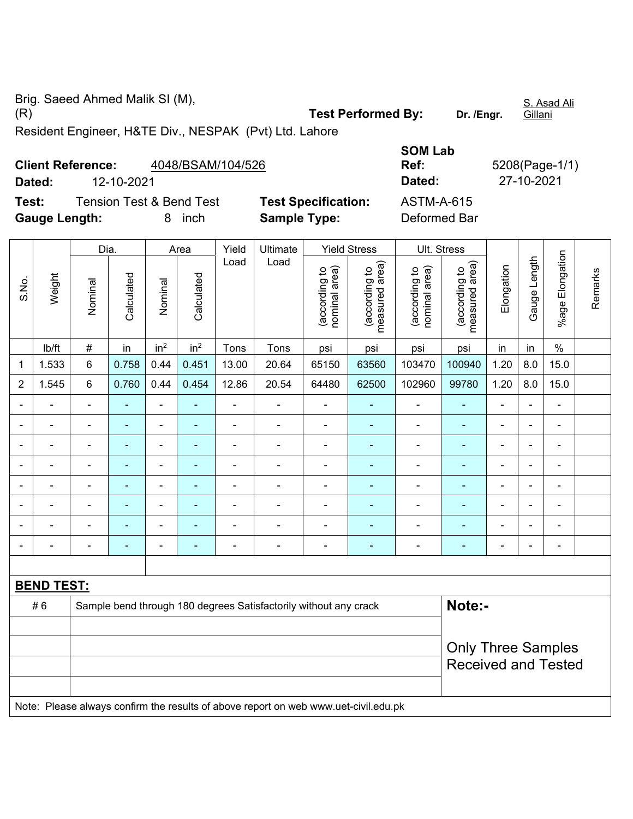Brig. Saeed Ahmed Malik SI (M), (R) **Test Performed By: Dr. /Engr.** 

S. Asad Ali Gillani

Resident Engineer, H&TE Div., NESPAK (Pvt) Ltd. Lahore

|                      | <b>Client Reference:</b> | 4048/BSAM/104/526                   | Ref:                       |                   |
|----------------------|--------------------------|-------------------------------------|----------------------------|-------------------|
| Dated:               | 12-10-2021               |                                     |                            | Dated:            |
| Test:                |                          | <b>Tension Test &amp; Bend Test</b> | <b>Test Specification:</b> | <b>ASTM-A-615</b> |
| <b>Gauge Length:</b> |                          | 8 inch                              | <b>Sample Type:</b>        | Deformed Bar      |

|                          |                          | Dia.                     |                          |                          | Area                     | Yield          | Ultimate                 |                                | <b>Yield Stress</b>                |                                | Ult. Stress                        |                |                 |                          |         |
|--------------------------|--------------------------|--------------------------|--------------------------|--------------------------|--------------------------|----------------|--------------------------|--------------------------------|------------------------------------|--------------------------------|------------------------------------|----------------|-----------------|--------------------------|---------|
| S.No.                    | Weight                   | Nominal                  | Calculated               | Nominal                  | Calculated               | Load           | Load                     | nominal area)<br>(according to | area)<br>(according to<br>measured | nominal area)<br>(according to | area)<br>(according to<br>measured | Elongation     | Length<br>Gauge | Elongation<br>$%$ age    | Remarks |
|                          | lb/ft                    | #                        | in                       | in <sup>2</sup>          | in <sup>2</sup>          | Tons           | Tons                     | psi                            | psi                                | psi                            | psi                                | in             | in              | $\%$                     |         |
| 1                        | 1.533                    | $6\phantom{1}$           | 0.758                    | 0.44                     | 0.451                    | 13.00          | 20.64                    | 65150                          | 63560                              | 103470                         | 100940                             | 1.20           | 8.0             | 15.0                     |         |
| 2                        | 1.545                    | $6\phantom{1}$           | 0.760                    | 0.44                     | 0.454                    | 12.86          | 20.54                    | 64480                          | 62500                              | 102960                         | 99780                              | 1.20           | 8.0             | 15.0                     |         |
|                          |                          | $\overline{\phantom{0}}$ |                          | $\overline{\phantom{0}}$ | $\overline{\phantom{0}}$ | $\blacksquare$ |                          | $\blacksquare$                 | ۰                                  |                                |                                    | ۰              | $\blacksquare$  | $\overline{\phantom{0}}$ |         |
|                          |                          | -                        | $\blacksquare$           | $\blacksquare$           | ٠                        |                |                          |                                |                                    |                                |                                    | $\blacksquare$ | $\blacksquare$  | $\blacksquare$           |         |
| $\overline{\phantom{0}}$ | $\overline{\phantom{0}}$ |                          |                          |                          | ٠                        |                |                          | $\blacksquare$                 |                                    |                                |                                    | $\blacksquare$ | $\blacksquare$  | $\blacksquare$           |         |
|                          | $\blacksquare$           | ۰                        | $\blacksquare$           |                          | ٠                        | -              |                          | $\blacksquare$                 | $\blacksquare$                     | $\blacksquare$                 | $\blacksquare$                     | $\blacksquare$ | ٠               | $\blacksquare$           |         |
|                          | ٠                        |                          | -                        |                          | ٠                        |                |                          | $\overline{\phantom{0}}$       |                                    |                                |                                    | $\blacksquare$ | $\blacksquare$  | $\blacksquare$           |         |
| ٠                        | $\blacksquare$           |                          | $\overline{\phantom{0}}$ | $\overline{\phantom{0}}$ | ۰                        | $\blacksquare$ | $\overline{\phantom{0}}$ | $\blacksquare$                 | -                                  | $\equiv$                       | $\equiv$                           | ۰              | $\blacksquare$  | $\blacksquare$           |         |
|                          |                          |                          | $\overline{\phantom{0}}$ |                          | ۰                        |                |                          | $\overline{\phantom{0}}$       |                                    |                                |                                    | $\blacksquare$ | $\blacksquare$  | $\blacksquare$           |         |
|                          | ٠                        | -                        | ۰                        | $\overline{\phantom{0}}$ | ۰                        | -              | -                        | $\overline{a}$                 | ۰                                  | -                              | -                                  | -              | $\blacksquare$  | $\overline{\phantom{a}}$ |         |
|                          |                          |                          |                          |                          |                          |                |                          |                                |                                    |                                |                                    |                |                 |                          |         |

| <b>BEND TEST:</b> |                                                                                     |                                                         |
|-------------------|-------------------------------------------------------------------------------------|---------------------------------------------------------|
| #6                | Sample bend through 180 degrees Satisfactorily without any crack                    | Note:-                                                  |
|                   |                                                                                     | <b>Only Three Samples</b><br><b>Received and Tested</b> |
|                   | Note: Please always confirm the results of above report on web www.uet-civil.edu.pk |                                                         |

**SOM Lab Ref:** 5208(Page-1/1)

**Dated:** 12-10-2021 **Dated:** 27-10-2021

**Deformed Bar**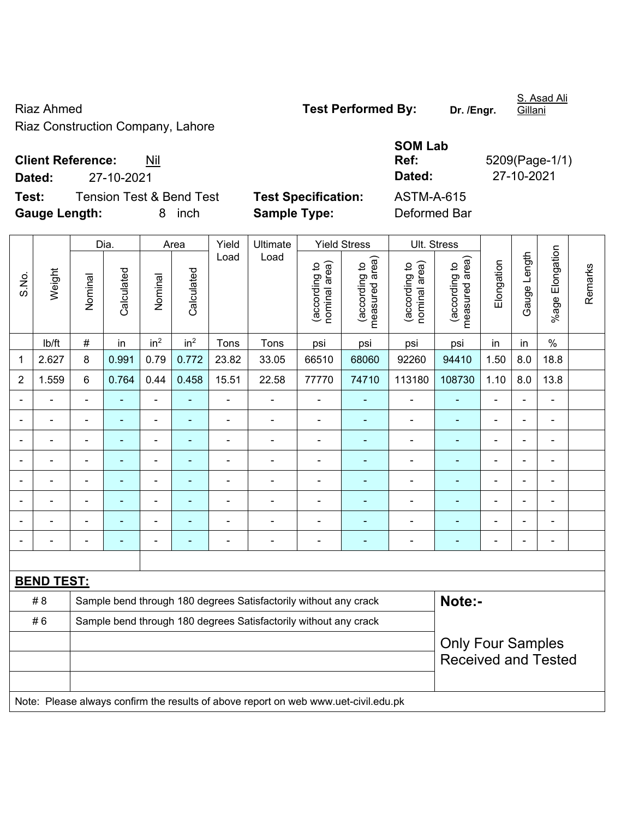Riaz Ahmed **Test Performed By:** Dr. /Engr. Riaz Construction Company, Lahore

Gillani

S. Asad Ali

**Client Reference:** Nil

**Test:** Tension Test & Bend Test **Test Specification:** ASTM-A-615 **Gauge Length:** 8 inch **Sample Type:** Deformed Bar

**SOM Lab Ref:** 5209(Page-1/1) **Dated:** 27-10-2021 **Dated:** 27-10-2021

|                |                   |                | Dia.           |                 | Area            | Yield          | Ultimate                                                                            |                                | <b>Yield Stress</b>             | Ult. Stress                    |                                 |                |                |                          |         |
|----------------|-------------------|----------------|----------------|-----------------|-----------------|----------------|-------------------------------------------------------------------------------------|--------------------------------|---------------------------------|--------------------------------|---------------------------------|----------------|----------------|--------------------------|---------|
| S.No.          | Weight            | Nominal        | Calculated     | Nominal         | Calculated      | Load           | Load                                                                                | nominal area)<br>(according to | (according to<br>measured area) | nominal area)<br>(according to | (according to<br>measured area) | Elongation     | Gauge Length   | %age Elongation          | Remarks |
|                | Ib/ft             | $\#$           | in             | in <sup>2</sup> | in <sup>2</sup> | Tons           | Tons                                                                                | psi                            | psi                             | psi                            | psi                             | in             | in             | $\%$                     |         |
| $\mathbf{1}$   | 2.627             | 8              | 0.991          | 0.79            | 0.772           | 23.82          | 33.05                                                                               | 66510                          | 68060                           | 92260                          | 94410                           | 1.50           | 8.0            | 18.8                     |         |
| $\overline{2}$ | 1.559             | 6              | 0.764          | 0.44            | 0.458           | 15.51          | 22.58                                                                               | 77770                          | 74710                           | 113180                         | 108730                          | 1.10           | 8.0            | 13.8                     |         |
|                |                   |                |                | $\blacksquare$  |                 | $\blacksquare$ | ä,                                                                                  |                                |                                 | $\blacksquare$                 |                                 |                |                | $\blacksquare$           |         |
|                |                   | $\blacksquare$ | $\blacksquare$ | $\blacksquare$  | $\blacksquare$  | $\blacksquare$ | ÷                                                                                   | $\blacksquare$                 | $\blacksquare$                  | $\blacksquare$                 | $\blacksquare$                  | $\blacksquare$ | $\blacksquare$ | $\overline{\phantom{a}}$ |         |
| $\blacksquare$ |                   | $\blacksquare$ | $\blacksquare$ | ä,              | $\blacksquare$  | $\blacksquare$ | ÷,                                                                                  | $\blacksquare$                 | $\blacksquare$                  | $\blacksquare$                 | ٠                               | $\blacksquare$ | $\blacksquare$ | $\blacksquare$           |         |
|                |                   | $\blacksquare$ | $\blacksquare$ | $\blacksquare$  | $\blacksquare$  | $\blacksquare$ | ÷,                                                                                  | $\blacksquare$                 | $\overline{\phantom{a}}$        | $\blacksquare$                 | $\blacksquare$                  | $\blacksquare$ |                | $\blacksquare$           |         |
|                |                   | $\blacksquare$ | ä,             | ä,              |                 | -              | ä,                                                                                  | $\blacksquare$                 | ÷,                              | $\blacksquare$                 | $\blacksquare$                  | L,             |                | ä,                       |         |
|                |                   |                | $\blacksquare$ |                 |                 |                |                                                                                     |                                |                                 |                                | -                               |                |                | $\blacksquare$           |         |
|                |                   |                |                | ÷               |                 | $\overline{a}$ | $\blacksquare$                                                                      | $\blacksquare$                 |                                 | $\blacksquare$                 | ۳                               |                |                | $\blacksquare$           |         |
| $\blacksquare$ |                   | $\blacksquare$ | $\blacksquare$ | ÷               | ٠               | $\blacksquare$ | $\blacksquare$                                                                      | $\blacksquare$                 | $\blacksquare$                  | $\blacksquare$                 | ٠                               | $\blacksquare$ |                | $\blacksquare$           |         |
|                |                   |                |                |                 |                 |                |                                                                                     |                                |                                 |                                |                                 |                |                |                          |         |
|                | <b>BEND TEST:</b> |                |                |                 |                 |                |                                                                                     |                                |                                 |                                |                                 |                |                |                          |         |
|                | # 8               |                |                |                 |                 |                | Sample bend through 180 degrees Satisfactorily without any crack                    |                                |                                 |                                | Note:-                          |                |                |                          |         |
|                | #6                |                |                |                 |                 |                | Sample bend through 180 degrees Satisfactorily without any crack                    |                                |                                 |                                |                                 |                |                |                          |         |
|                |                   |                |                |                 |                 |                | <b>Only Four Samples</b>                                                            |                                |                                 |                                |                                 |                |                |                          |         |
|                |                   |                |                |                 |                 |                |                                                                                     |                                |                                 |                                | <b>Received and Tested</b>      |                |                |                          |         |
|                |                   |                |                |                 |                 |                |                                                                                     |                                |                                 |                                |                                 |                |                |                          |         |
|                |                   |                |                |                 |                 |                | Note: Please always confirm the results of above report on web www.uet-civil.edu.pk |                                |                                 |                                |                                 |                |                |                          |         |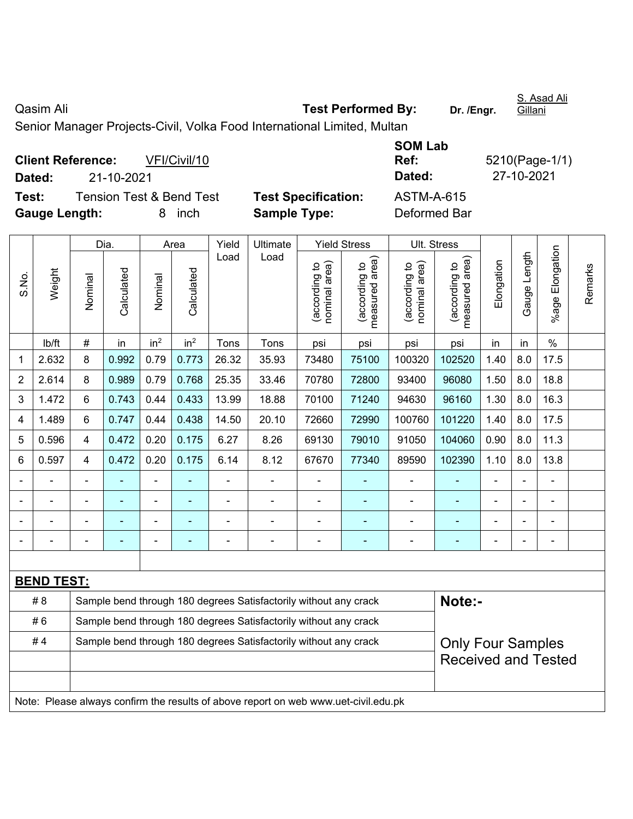Qasim Ali **Casim Ali Test Performed By:** Dr. /Engr. S. Asad Ali Gillani Senior Manager Projects-Civil, Volka Food International Limited, Multan

|                      | <b>Client Reference:</b> | VFI/Civil/10             |                            | Ref:         | 5210(Page-1/ |
|----------------------|--------------------------|--------------------------|----------------------------|--------------|--------------|
| Dated:               | 21-10-2021               |                          |                            | Dated:       | 27-10-2021   |
| Test:                |                          | Tension Test & Bend Test | <b>Test Specification:</b> | ASTM-A-615   |              |
| <b>Gauge Length:</b> |                          | inch<br>8                | <b>Sample Type:</b>        | Deformed Bar |              |

| <b>SOM Lab</b> |                |
|----------------|----------------|
| Ref:           | 5210(Page-1/1) |
| Dated:         | 27-10-2021     |
| ASTM-A-615     |                |
| Defermed Der   |                |

|                |                                                                                     |                                                                  | Dia.           |                              | Area            | Yield          | Ultimate                                                         |                               | <b>Yield Stress</b>             |                               | Ult. Stress                     |                          |              |                 |         |
|----------------|-------------------------------------------------------------------------------------|------------------------------------------------------------------|----------------|------------------------------|-----------------|----------------|------------------------------------------------------------------|-------------------------------|---------------------------------|-------------------------------|---------------------------------|--------------------------|--------------|-----------------|---------|
| S.No.          | Weight                                                                              | Nominal                                                          | Calculated     | Nominal                      | Calculated      | Load           | Load                                                             | nominal area)<br>according to | (according to<br>measured area) | nominal area)<br>according to | (according to<br>measured area) | Elongation               | Gauge Length | %age Elongation | Remarks |
|                | lb/ft                                                                               | $\#$                                                             | in             | in <sup>2</sup>              | in <sup>2</sup> | Tons           | Tons                                                             | psi                           | psi                             | psi                           | psi                             | in                       | in           | $\frac{0}{0}$   |         |
| 1              | 2.632                                                                               | 8                                                                | 0.992          | 0.79                         | 0.773           | 26.32          | 35.93                                                            | 73480                         | 75100                           | 100320                        | 102520                          | 1.40                     | 8.0          | 17.5            |         |
| $\overline{2}$ | 2.614                                                                               | 8                                                                | 0.989          | 0.79                         | 0.768           | 25.35          | 33.46                                                            | 70780                         | 72800                           | 93400                         | 96080                           | 1.50                     | 8.0          | 18.8            |         |
| 3              | 1.472                                                                               | 6                                                                | 0.743          | 0.44                         | 0.433           | 13.99          | 18.88                                                            | 70100                         | 71240                           | 94630                         | 96160                           | 1.30                     | 8.0          | 16.3            |         |
| 4              | 1.489                                                                               | 6                                                                | 0.747          | 0.44                         | 0.438           | 14.50          | 20.10                                                            | 72660                         | 72990                           | 100760                        | 101220                          | 1.40                     | 8.0          | 17.5            |         |
| 5              | 0.596                                                                               | $\overline{4}$                                                   | 0.472          | 0.20                         | 0.175           | 6.27           | 8.26                                                             | 69130                         | 79010                           | 91050                         | 104060                          | 0.90                     | 8.0          | 11.3            |         |
| 6              | 0.597                                                                               | 4                                                                | 0.472          | 0.20                         | 0.175           | 6.14           | 8.12                                                             | 67670                         | 77340                           | 89590                         | 102390                          | 1.10                     | 8.0          | 13.8            |         |
|                |                                                                                     | $\blacksquare$                                                   |                | ÷                            |                 | ä,             |                                                                  | $\blacksquare$                |                                 |                               |                                 |                          |              | $\blacksquare$  |         |
|                |                                                                                     |                                                                  | ٠              | ÷,                           |                 | ä,             | $\blacksquare$                                                   | $\blacksquare$                | ۰                               | $\blacksquare$                | $\blacksquare$                  | $\overline{\phantom{a}}$ |              | $\blacksquare$  |         |
|                |                                                                                     |                                                                  | $\blacksquare$ | $\qquad \qquad \blacksquare$ |                 | $\blacksquare$ | $\blacksquare$                                                   | ÷,                            | ٠                               | $\blacksquare$                | $\blacksquare$                  | Ē,                       |              | $\blacksquare$  |         |
|                | ÷                                                                                   |                                                                  | $\blacksquare$ | $\qquad \qquad \blacksquare$ |                 | $\blacksquare$ | Ē,                                                               | -                             | ۰                               | $\blacksquare$                | ÷                               | $\overline{\phantom{a}}$ |              | ÷,              |         |
|                |                                                                                     |                                                                  |                |                              |                 |                |                                                                  |                               |                                 |                               |                                 |                          |              |                 |         |
|                | <b>BEND TEST:</b>                                                                   |                                                                  |                |                              |                 |                |                                                                  |                               |                                 |                               |                                 |                          |              |                 |         |
|                | # 8                                                                                 |                                                                  |                |                              |                 |                | Sample bend through 180 degrees Satisfactorily without any crack |                               |                                 |                               | Note:-                          |                          |              |                 |         |
|                | #6                                                                                  |                                                                  |                |                              |                 |                | Sample bend through 180 degrees Satisfactorily without any crack |                               |                                 |                               |                                 |                          |              |                 |         |
|                | #4                                                                                  | Sample bend through 180 degrees Satisfactorily without any crack |                |                              |                 |                |                                                                  |                               |                                 |                               | <b>Only Four Samples</b>        |                          |              |                 |         |
|                |                                                                                     |                                                                  |                |                              |                 |                |                                                                  |                               |                                 |                               | <b>Received and Tested</b>      |                          |              |                 |         |
|                |                                                                                     |                                                                  |                |                              |                 |                |                                                                  |                               |                                 |                               |                                 |                          |              |                 |         |
|                | Note: Please always confirm the results of above report on web www.uet-civil.edu.pk |                                                                  |                |                              |                 |                |                                                                  |                               |                                 |                               |                                 |                          |              |                 |         |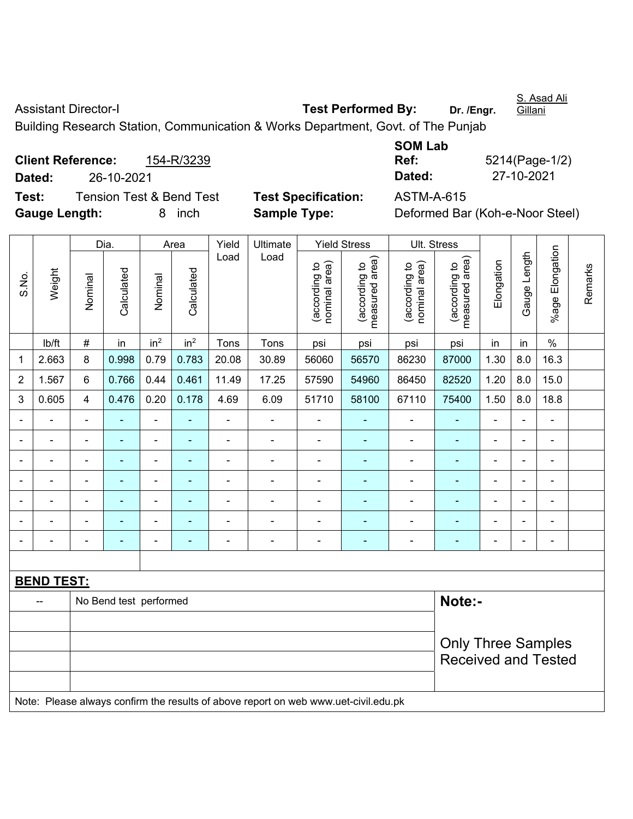S.No.

Weight

Assistant Director-I **Test Performed By:** Dr. /Engr.

S. Asad Ali **Gillani** 

Remarks

Building Research Station, Communication & Works Department, Govt. of The Punjab

**Client Reference:** 154-R/3239 **Dated:** 26-10-2021 **Dated:** 27-10-2021 **Test:** Tension Test & Bend Test **Test Specification:** ASTM-A-615 **Gauge Length:** 8 inch **Sample Type:** Deformed Bar (Koh-e-Noor Steel)

**SOM Lab Ref:** 5214(Page-1/2)

Dia. | Area | Yield | Ultimate | Yield Stress | Ult. Stress %age Elongation %age Elongation Gauge Length Load Load Gauge Length (according to<br>measured area) measured area) measured area) (according to<br>nominal area) (according to<br>nominal area) nominal area) nominal area) (according to<br>measured area) Elongation Elongation (according to (according to (according to (according to Remarks **Calculated Calculated** Calculated Calculated Nominal Nominal Nominal Nominal | lb/ft | # | in | in<sup>2</sup> | in<sup>2</sup> | Tons | Tons | psi | psi | psi | psi | in | in | % 1 | 2.663 | 8 | 0.998 | 0.79 | 0.783 | 20.08 | 30.89 | 56060 | 56570 | 86230 | 87000 | 1.30 | 8.0 | 16.3 2 | 1.567 | 6 | 0.766 | 0.44 | 0.461 | 11.49 | 17.25 | 57590 | 54960 | 86450 | 82520 | 1.20 | 8.0 | 15.0 3 | 0.605 | 4 | 0.476 | 0.20 | 0.178 | 4.69 | 6.09 | 51710 | 58100 | 67110 | 75400 | 1.50 | 8.0 | 18.8 - - - - - - - - - - - - - - - - - - - - - - - - - - - - - - - - - - - - - - - - - - - - - - - - - - - - - - - - - - - - - - - - - - - - - - - - - - - - - - - - - - - - - - - - - - - - - - - - - - - - - - - - - **BEND TEST:** 

|                                                                                     | Note:-<br>No Bend test performed |                                                  |  |  |  |  |  |  |  |
|-------------------------------------------------------------------------------------|----------------------------------|--------------------------------------------------|--|--|--|--|--|--|--|
|                                                                                     |                                  |                                                  |  |  |  |  |  |  |  |
|                                                                                     |                                  | Only Three Samples<br><b>Received and Tested</b> |  |  |  |  |  |  |  |
|                                                                                     |                                  |                                                  |  |  |  |  |  |  |  |
| Note: Please always confirm the results of above report on web www.uet-civil.edu.pk |                                  |                                                  |  |  |  |  |  |  |  |